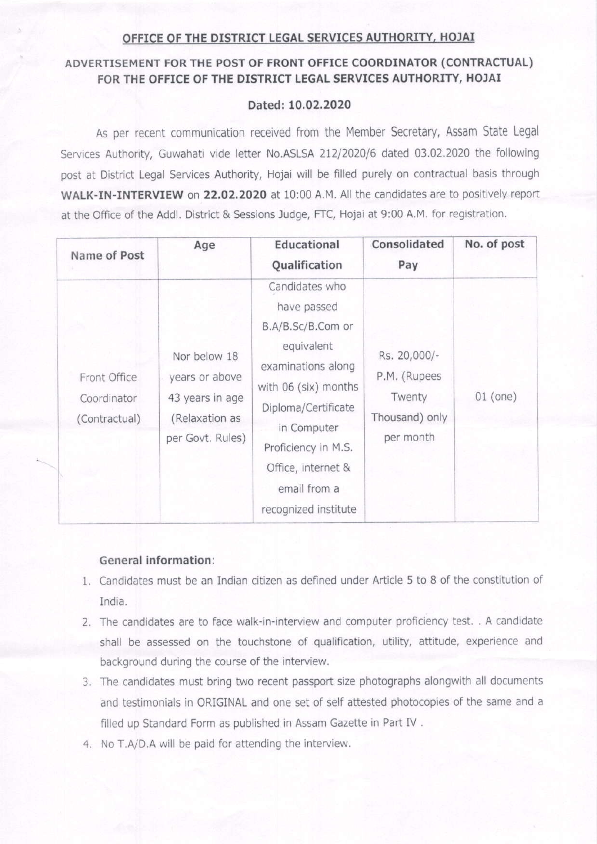### OFFICE OF THE DISTRICT LEGAL SERVICES AUTHORITY, HOJAI

# ADVERTTSEMENT FOR THE POST OF FRONT OFFICE COORDINATOR (CONTRACTUAL) FOR THE OFFICE OF THE DISTRICT LEGAL SERVICES AUTHORITY, HOJAI

## Dated:10,02.2020

As per recent communication received from the Member Secretary, Assam State Legal Services Authority, Guwahati vide letter No.ASLSA 212/2020/6 dated 03.02.2020 the following post at District Legal Services Authority, Hojai will be filled purely on contractual basis through WALK-IN-INTERVIEW on 22.02.2020 at 10:00 A.M. All the candidates are to positively report at the Office of the Addl. District & Sessions Judge, FTC, Hojai at 9:00 A.M. for registration.

| Name of Post                                 | Age                                                                                     | Educational<br>Qualification                                                                                                                                                                                                              | Consolidated<br>Pay                                                   | No. of post |
|----------------------------------------------|-----------------------------------------------------------------------------------------|-------------------------------------------------------------------------------------------------------------------------------------------------------------------------------------------------------------------------------------------|-----------------------------------------------------------------------|-------------|
| Front Office<br>Coordinator<br>(Contractual) | Nor below 18<br>years or above<br>43 years in age<br>(Relaxation as<br>per Govt. Rules) | Candidates who<br>have passed<br>B.A/B.Sc/B.Com or<br>equivalent<br>examinations along<br>with 06 (six) months<br>Diploma/Certificate<br>in Computer<br>Proficiency in M.S.<br>Office, internet &<br>email from a<br>recognized institute | Rs. 20,000/-<br>P.M. (Rupees<br>Twenty<br>Thousand) only<br>per month | $01$ (one)  |

#### General information:

- 1. Candidates must be an Indian citizen as defined under Article 5 to 8 of the constitution of India.
- 2. The candidates are to face walk-in-interview and computer proficiency test. . A candidate shall be assessed on the touchstone of qualification, utility, attitude, experience and background during the course of the interview.
- 3. The candidates must bring two recent passport size photographs alongwith all documents and testimonials in ORIGINAL and one set of self attested photocopies oF the same and <sup>a</sup> filled up Standard Form as published in Assam Gazette in Part IV.
- 4. No T.A/D.A will be paid for attending the interview.